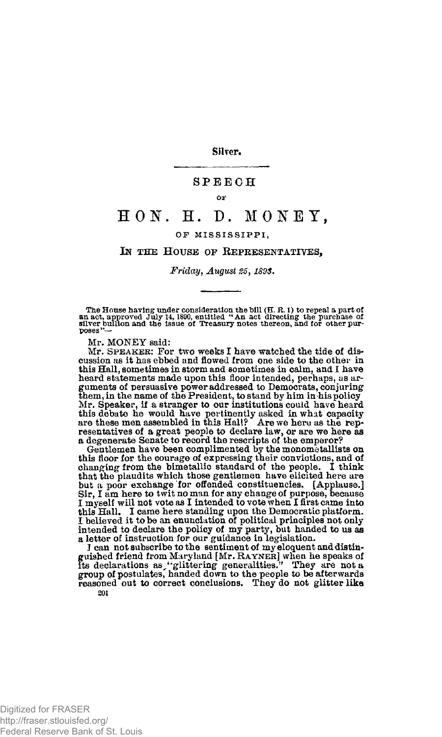Silver.

## **SPEEC H**

#### **OF**

# **HON. H. D. MONEY ,**

### **OP MISSISSIPPI ,**

### **IN THE HOUSE OF REPRESENTATIVES,**

*Friday, August 25,189S.* 

The House having under consideration the bill (H. R. 1) to repeal a part of<br>an act, approved July 14, 1890, entitled "An act directing the purchase of<br>silver buillon and the issue of Treasury notes thereon, and for other p **poses** 

Mr. MONEY said:

Mr. **SPEAKER**: For two weeks I have watched the tide of discussion as it has ebbed and flowed from one side to the other in this Hall, sometimes in storm and sometimes in calm, and I have heard statements made upon this floor intended, perhaps, as ar-guments of persuasive power addressed to Democrats, conjuring them, in the name of the President, to stand by him in his policy Mr, Speaker, if a stranger to our institutions could have heard this debate he would have pertinently asked in what capacity are these men assembled in this Hall? Are we here as the representatives of a great people to declare law, or are we here as a degenerate Senate to record the rescripts of the emperor?

Gentlemen have been complimented by the monometallists on this floor for the courage of expressing their convictions, and of changing from the bimetallic standard of the people. I think that the plaudits which those gentlemen have elicited here are but a poor exchange for offended constituencies. [Applause.] Sir, I am here to twit no man for any change of purpose, because I myself will not vote as I intended to vote when I first came into this Hall. I came here standing upon the Democratic platform.<br>I believed it to be an enunciation of political principles not only intended to declare the policy of my party, but handed to us as<br>intended to declare the poli

I can not subscribe to the sentiment of my eloquent and distinguished friend from Maryland [Mr. RAYNER] when he speaks of<br>its declarations as "glittering generalities." They are not a<br>group of postulates, handed down to the people to be afterwards<br>reasoned out to correct conclusions. 201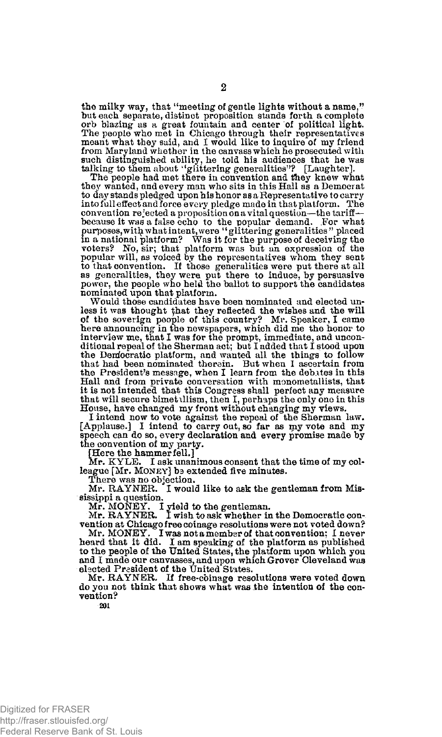the milky way, that "meeting of gentle lights without a name," hut each separate, distinct proposition stands forth a complete orb blazing as a great fountain and center of political light. The people who met in Chicago through their representatives meant what they said, and I would like to inquire of my friend from Maryland whether in the canvass which he prosecuted with such distinguished ability, he told his audiences that he was<br>talking to them about ''glittering generalities''? [Laughter].

The people had met there in convention and they knew what they wanted, and every man who sits in this Hall as a Democrat to day stands pledged upon his honor as a Representative to carry into full effect and force e very pledge made in that platform. The convention rejected a proposition on a vital question—the tariff— because it was a false echo to the popular demand. For what purposes, with what intent, were " glittering generalities" placed m a national platform? Was it for the purpose of deceiving the voters? No, sir; that platform was but an expression of the popular will, as voiced by the representatives whom they sent to that convention. If those generalities were put there at all as generalities, they were put there to induce, by persuasive power, the people who held the ballot to support the candidates nominated upon that platform.

Would those candidates have been nominated and elected unless it was thought that they reflected the wishes and the will of the soverign people of this country? Mr. Speaker, I came here announcing in the newspapers, which did me the honor to interview me, that I was for the prompt, immediate, and unconditional repeal of the Sherman act; but I added that I stood upon the Democratic platform, and wanted all the things to follow that had been nominated therein. But when I ascertain from the President's message, when I learn from the debates in this Hall and from private conversation with monometallists, that it is not intended that this Congress shall perfect any measure that will secure bimet illism, then I, perhaps the only one in this House, have changed my front without changing my views.

I intend now to vote against the repeal of the Sherman law. [Applause.] I intend to carry out, so far as my vote and my speech can do so, every declaration and every promise made by the convention of my party.

[Here the hammer fell.]

Mr. KYLE. I ask unanimous consent that the time of my col-league [Mr. **MONEY**] be extended five minutes.

There was no objection.

Mr. RAYNER. I would like to ask the gentleman from Mississippi a question. Mr. MONEY. I yield to the gentleman. Mr. RAYNER. I wish to ask whether in the Democratic con-

vention at Chicago free coinage resolutions were not voted down?

Mr. MONEY. I was not a member of that convention; I never heard that it did. I am speaking of the platform as published to the people of the United States, the platform upon which you and I made our canvasses, and upon which Grover Cleveland was elected President of the United States.

Mr. RAYNER. If free-coinage resolutions were voted down do you not think that shows what was the intention of the convention?

**201**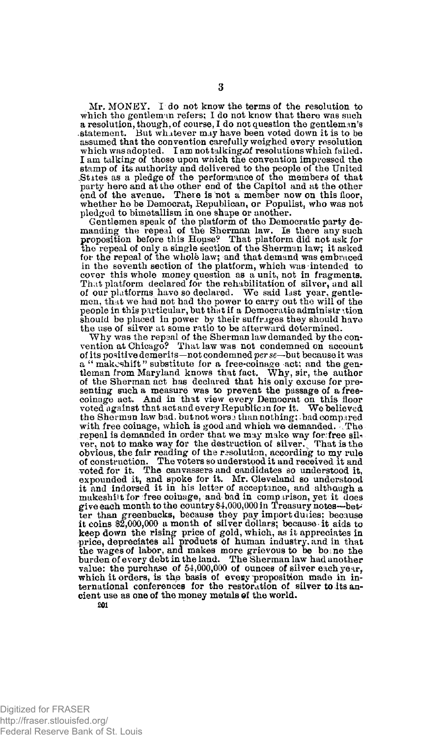Mr. MONEY. I do not know the terms of the resolution to which the gentleman refers; I do not know that there was such a resolution, though, of course, I do not question the gentleman's statement. But whatever may have been voted down it is to be assumed that the convention carefully weighed every resolution which was adopted. I am not talking.of resolutions which failed. I am talking of those upon which the convention impressed the stamp of its authority and delivered to the people of the United .St ites as a pledge of the performance of the members of that party here and at the other end of the Capitol and at the other end of the avenue. There is not a member now on this floor, whether he be Democrat, Republican, or Populist, who was not pledged to bimetallism in one shape or another.

Gentlemen speak of the platform of the Democratic party de-manding the repeal of the Sherman law. Is there any such proposition before this House? That platform did not ask for the repeal of only a single section of the Sherman law; it asked for the repeal of the whole law; and that demand was embraced in the seventh section of the platform, which was intended to cover this whole money question as a unit, not in fragments. That platform declared for the rehabilitation of silver, and all of our platforms have so declared. We said last year, gentlemen, that we had not had the power to carry out the will of the people in this particular, but that if a Democratic administr ition should be placed in power by their suffrages they should have the use of silver at some ratio to be afterward determined.

Why was the repaal of the Sherman law demanded by the con-vention at Chicago? That law was not condemned on account of its positive demerits—not condemned *per se*—but because it was a " makeshift" substitute for a free-coinage act; and the gen-<br>tleman from Maryland knows that fact. Why, sir, the author<br>of the Sherman act has declared that his only excuse for presenting such a measure was to prevent the passage of a free-coinage act. And in that view every Democrat on this floor voted against that act and every Republican for it. We believed voted against that act and every Republican for it. We believed<br>the Sherman law bad. but not worse than nothing; bad compared with free coinage, which is good and which we demanded. The repeal is demanded in order that we may make way for free sil-<br>ver, not to make way for the destruction of silver. That is the obvious, the fair reading of the resolution, according to my rule of construction. The voters so understood it and received it and voted for it. The canvassers and candidates so understood it, expounded it, and spoke for it. Mr. Cleveland so understood it and indorsed it in his letter of acceptance, and although a makeshitt for free coinage, and bad in comparison, yet it does give each month to the country \$4,000,000 in Treasury notes—bet-' ter than greenbacks, because they pay import duiies; because it coins \$2,000,000 a month of silver dollars; because it aids to keep down the rising price of gold, which, as it appreciates in price, depreciates all products of human industry, and in that the wages of labor, and makes more grievous to be bo ne the burden of every debt in the land. The Sherman law had another value: the purchase of 54,000,000 of ounces of silver each year, which it orders, is the basis of every proposition made in international conferences for the restoration of silver to its ancient use as one of the money metals of the world.

**201**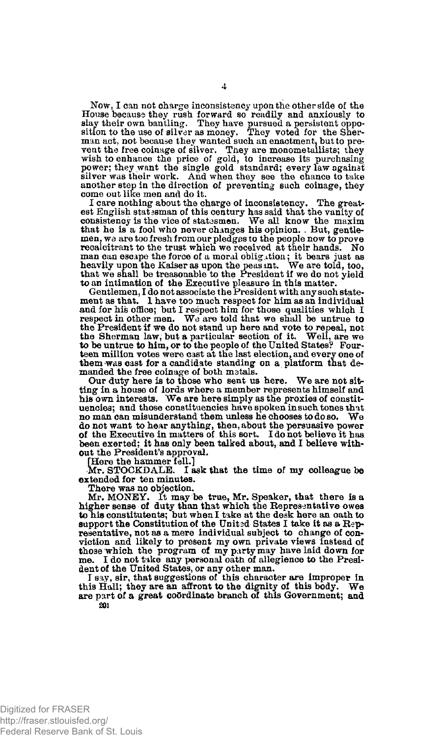Now, I can not charge inconsistency upon the other side of the House because they rush forward so readily and anxiously to slay their own bantling. They have pursued a persistent opposition to the use of silver as money. They voted for the Sherman act, not because they wanted such an wish to enhance the price of gold, to increase its purchasing<br>power; they want the single gold standard; every law against<br>silver was their work. And when they see the chance to take<br>another step in the direction of preven come out like men and do it.

I care nothing about the charge of inconsistency. The greatest English statesman of this century has said that the vanity of consistency is the vice of statesmen. We all know the maxim that he is a fool who never changes his opinion. . But, gentlemen, we are too fresh from our pledges to the people now to prove recalcitrant to the trust which we received at their hands. No man can escape the force of a moral obligation; it bears just as heavily upon the Kaiser as upon the peas int. We are told, too, heavily upon the Kaiser as upon the peasunt. We are told, too, that we shall be treasonable to the President if we do not yield to an intimation of the Executive pleasure in this matter.

Gentlemen, I do not associate the President with any such statement as that. 1 have too much respect for him as an individual and for his office; but I respect him for those qualities which I respect in other men. We are told that we shall be untrue to the President if we do not stand up here and vote to repeal, not the Sherman law, but a particular section of it. Well, are we to be untrue to him, or to the people of the United States? Fourteen million votes were cast at the last election, and every one of them was cast for a candidate standing on a platform that demanded the free coinage of both matals.

Our duty here is to those who sent us here. We are not sitting in a house of lords where a member represents himself and his own interests. We are here simply as the proxies of constituencies; and those constituencies have spoken in such tones that no man can misunderstand them unless he chooses to do so. We no man can misunderstand them unless he chooses to do so. do not want to hear anything, then, about the persuasive power of the Executive in matters of this sort. I do not believe it has been exerted; it has only been talked about, and I believe without the President's approval.

[Here the hammer fell.]

Mr. STOCKDALE. I ask that the time of my colleague be extended for ten minutes.

There was no objection.

Mr, MONEY. It may be true, Mr. Speaker, that there is a higher sense of duty than that which the Representative owes to his constitutents; but when I take at the desk here an oath to support the Constitution of the United States I take it as a Representative, not as a mere individual subject to change of conviction and likely to present my own private views instead of those which the program of my party may have laid down for me. I do not take any personal oath of allegience to the President of the United States, or any other man.

I say, sir, that suggestions of this character are improper in this Hall; they are an affront to the dignity of this body. We are part of a great coordinate branch of this Government; and 201

Digitized for FRASER http://fraser.stlouisfed.org/ Federal Reserve Bank of St. Louis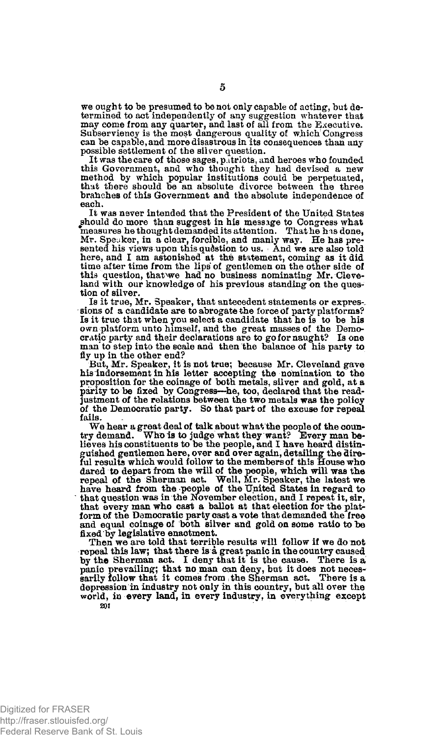we ought to be presumed to be not only capable of acting, but determined to act independently of any suggestion whatever that may come from any quarter, and last of all from the Executive. Subserviency is the most dangerous quality of which Congress can be capable, and more disastrous in its consequences than any possible settlement of the silver question.

It was the care of those sages, patriots, and heroes who founded this Government, and who thought they had devised a new method by which popular institutions could be perpetuated, that there should be an absolute divorce between the three brahches of this Government and the absolute independence of each.

It was never intended that the President of the United States ^should do more than suggest in his message to Congress what measures he thought demanded its attention. That he has done,<br>Mr. Speaker, in a clear, forcible, and manly way. He has pre-<br>sented his views upon this question to us. And we are also told here, and I am astonished at the statement, coming as it did time after time from the lips of gentlemen on the other side of this question, thatxwe had no business nominating Mr. Cleve-land with our knowledge of his previous standing on the question of silver.

Is it true, Mr. Speaker, that antecedent statements or expressions of a candidate are to abrogate the force of party platforms? Is it true that when you select a candidate that he is to be his own platform unto himself, and the great masses of the Demo-cratic party and their declarations are to go for naught? Is one man'to step into the scale and then the balance of his party to fly up in the other end?

But, Mr. Speaker, it is not true; because Mr. Cleveland gave his indorsement in his letter accepting the nomination to the proposition for the coinage of both metals, silver and gold, at a parity to be fixed by Congress—he, too, declared that the readjustment of the relations between the two metals was the policy of the Democratic party. So that part of the excuse for repeal fails.

We hear a great deal of talk about what the people of the coun-<br>try demand. Who is to judge what they want? Every man be-Who is to judge what they want? Every man believes his constituents to be the people, and I have heard distinguished gentlemen here, over and over again, detailing the dire-<br>ful results which would follow to the members of this House who<br>dared to depart from the will of the people, which will was the<br>repeal of the Sherman act. We have heard from the people of the United States in regard to that question was in the November election, and I repeat it, sir, that every man who cast a ballot at that election for the plat-<br>form of the Democratic party cast a vote that demanded the free and equal coinage of both silver and gold on some ratio to be fixed by legislative enactment.

Then we are told that terrible results will follow if we do not repeal this law; that there is a great panic in the country caused<br>by the Sherman act. I deny that it is the cause. There is a<br>panic prevailing; that no man can deny, but it does not neces-<br>sarily follow that it comes from depression in industry not only in this country, but all over the world, in every land, in every industry, in everything except **201**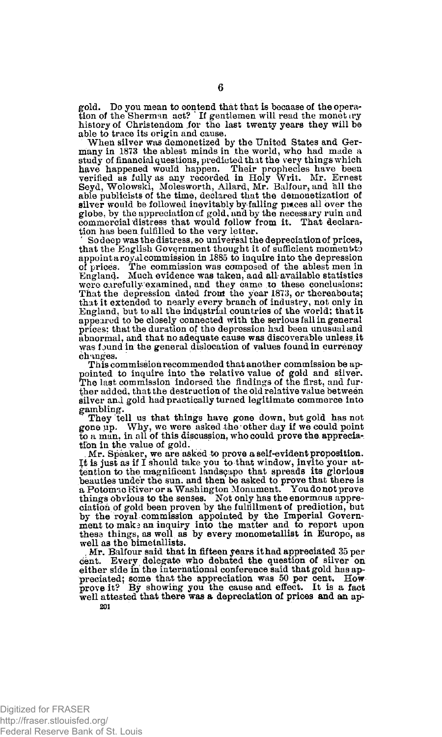gold. Do you mean to contend that that is becaase of the opera-tion of the Sherman act? ' If gentlemen will read the monet try history of Christendom for the last twenty years they will be able to trace its origin and cause.

When silver was demonetized by the United States and Ger-many in 1873 the ablest minds in the world, who had made a study of financial questions, predicted that the very things which<br>have happened would happen. Their prophecies have been<br>verified as fully as any recorded in Holy Writ. Mr. Ernest<br>Seyd, Wolowski, Molesworth, Allard, Mr. B silver would be followed inevitably by falling prices all over the globe, by the appreciation of gold,\*andby the necessary ruin and commercial distress that would follow from it. That declaration has been fulfilled to the very letter.

So deep was the distress, so universal the depreciation of prices, that the English Government thought it of sufficient moment to appoint a royal commission in 1885 to inquire into the depression of prices. The commission was composed of the ablest men in England. Much evidence was taken, and all-available statistics were carefully examined, and they came to these conclusions: That the depression dated front the year 1873, or thereabouts; that it extended to nearly every branch of industry, not only in England, but to all the industrial countries of the world; that it appeared to be closely connected with the serious fall in general prices: that the duration of the depression had been unusual and abnormal, and that no adequate cause was discoverable unless,it was found in the general dislocation of values found in currency ch unges.

This commission recommended that another commission be appointed to inquire into the relative value of gold and silver. The last commission indorsed the findings of the first, and further added, that the destruction of the old relative value between silver and gold had practically turned legitimate commerce into gambling.

They tell us that things have gone down, but gold has not gone up. Why, we were asked the other day if we could point to a man, in all of this discussion, who could prove the appreciation in the value of gold.

Mr. Speaker, we are asked to prove a self-evident proposition.<br>It is just as if I should take you to that window, invite your attention to the magnificent landscape that spreads its glorious<br>beauties under the sun, and then be asked to prove that there is<br>a Potomao River or a Washington Monument. Youdonot prove<br>things obvious to the senses. Not onl ciation of gold been proven by the fulfillment of prediction, but by the royal commission appointed by the Imperial Govern-ment to make an inquiry into the matter and to report upon these things, as well as by every monometallist in Europe, as well as the bimetallists.

Mr. Balfour said that in fifteen years it had appreciated 35 per cent. Every delegate who debated the question of silver on either side in the international conference said that gold has appreciated; some that the appreciation was 50 per cent. How prove it? By showing you the cause and effect. It is a fact well attested that there was a depreciation of prices and an ap-**201** 

Digitized for FRASER http://fraser.stlouisfed.org/ Federal Reserve Bank of St. Louis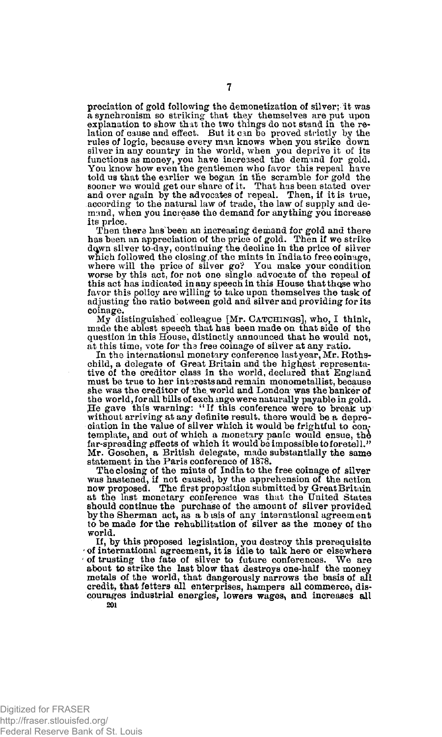preciation of gold following the demonetization of silver; it was a synchronism so striking that they themselves are put upon explanation to show that the two things do not stand in the relation of cause and effect. But it can be proved strictly by the rules of logic, because every man knows when you strike down silver in any country in the world, when you deprive it of its functions as money, you have increased the demand for gold. You know how even the gentlemen who favor this repeal have told us that the earlier we began in the scramble for gold the sooner we would get our share of it. That has been stated over and over again by the advocates of repeal. Then, if it is true, according to the natural law of trade, the law of supply and demand, when you increase the demand for anything you increase its price.

Then there has been an increasing demand for gold and there has been an appreciation of the price of gold. Then if we strike dawn silver to-day, continuing the.decline in the price of silver which followed the closing,of the mints in India to free coinage, where will the price of silver go? You make your condition worse by this act, for not one single, advocate of the repeal of this act has indicated in any speech in this House that those who favor this policy are willing to take upon themselves the task of adjusting the ratio between gold and silver and providing for its coinage.

My distinguished colleague [Mr. **CATCHINGS**], who, **I** think, made the ablest speech that has been made on that side of the question in this House, distinctly announced that he would not, at this time, vote for tha free coinage of silver at any ratio.

In the international monetary conference last year, Mr. Rothschild, a delegate of Great Britain and the highest representa-tive of the creditor class in the world, declared that England must be true to her interests and remain monometallist, because she was the creditor of the. world and London was the banker of the world, for all bills of exchange were naturally payable in gold.<br>He gave this warning: "If this conference were to break up<br>without arriving at any definite result, there would be a depreciation in the value of silver which it would be frightful to contemplate, and out of which a monetary panic would ensue, the far-spreading effects of which it would be impossible to foretell." Mr. Goschen, a British delegate, made substantially the same statement in the Paris conference of 1878.

The closing of the mints of India to the free coinage of silver was hastened, if not caused, by the apprehension of the action now proposed. The first proposition submitted by Great Britain at the last monetary conference was that the United States should continue the purchase of the amount of silver provided by the Sherman act, as a b isis of any international agreement to be made for the rehabilitation of silver as the money of the world.

If, by this proposed legislation, you destroy this prerequisite ' of international agreement, it is idle to talk here or elsewhere of trusting the fate of silver to future conferences. about to strike the last blow that destroys one-half the money metals of the world, that dangerously narrows the basis of all credit, that fetters all enterprises, hampers all commerce, discourages industrial energies, lowers wages, and increases all **201**